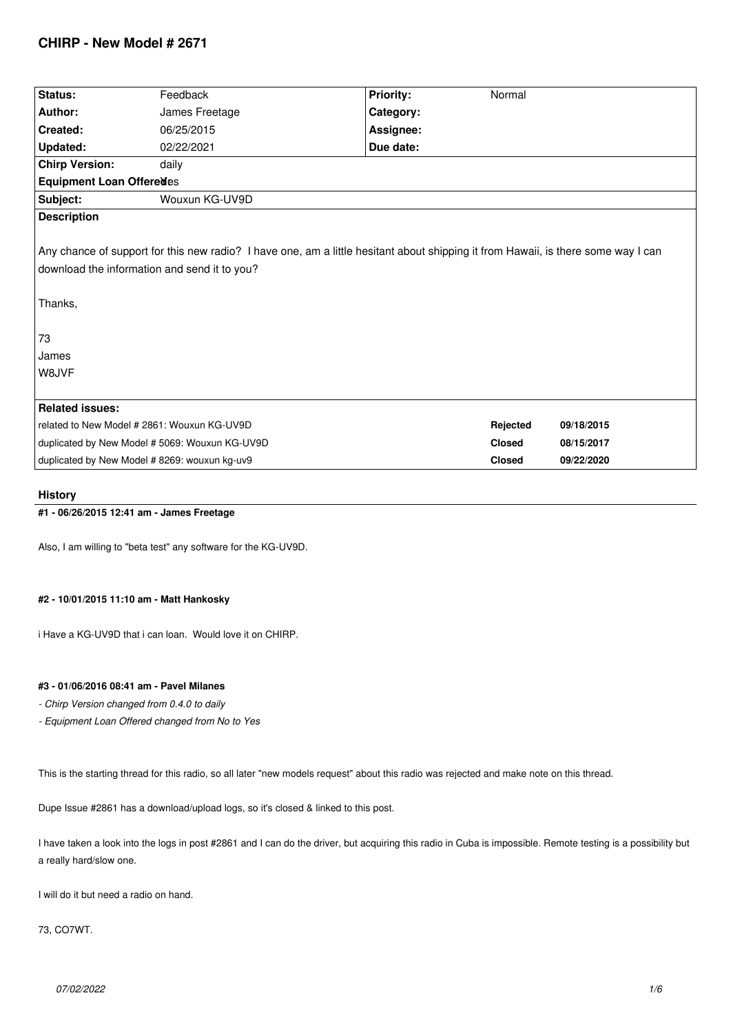# **CHIRP - New Model # 2671**

| Status:                                                                                                                                                                                                              | Feedback                                       | Priority: | Normal        |            |  |  |
|----------------------------------------------------------------------------------------------------------------------------------------------------------------------------------------------------------------------|------------------------------------------------|-----------|---------------|------------|--|--|
| Author:                                                                                                                                                                                                              | James Freetage                                 | Category: |               |            |  |  |
| Created:                                                                                                                                                                                                             | 06/25/2015                                     | Assignee: |               |            |  |  |
| Updated:                                                                                                                                                                                                             | 02/22/2021                                     | Due date: |               |            |  |  |
| <b>Chirp Version:</b>                                                                                                                                                                                                | daily                                          |           |               |            |  |  |
| Equipment Loan Offeredes                                                                                                                                                                                             |                                                |           |               |            |  |  |
| Subject:                                                                                                                                                                                                             | Wouxun KG-UV9D                                 |           |               |            |  |  |
| <b>Description</b>                                                                                                                                                                                                   |                                                |           |               |            |  |  |
| Any chance of support for this new radio? I have one, am a little hesitant about shipping it from Hawaii, is there some way I can<br>download the information and send it to you?<br>Thanks,<br>73<br>James<br>W8JVF |                                                |           |               |            |  |  |
|                                                                                                                                                                                                                      |                                                |           |               |            |  |  |
| <b>Related issues:</b>                                                                                                                                                                                               |                                                |           |               |            |  |  |
| related to New Model # 2861: Wouxun KG-UV9D                                                                                                                                                                          |                                                |           | Rejected      | 09/18/2015 |  |  |
|                                                                                                                                                                                                                      | duplicated by New Model # 5069: Wouxun KG-UV9D |           | <b>Closed</b> | 08/15/2017 |  |  |
| duplicated by New Model # 8269: wouxun kg-uv9                                                                                                                                                                        |                                                |           | <b>Closed</b> | 09/22/2020 |  |  |
|                                                                                                                                                                                                                      |                                                |           |               |            |  |  |

# **History**

**#1 - 06/26/2015 12:41 am - James Freetage**

*Also, I am willing to "beta test" any software for the KG-UV9D.*

# **#2 - 10/01/2015 11:10 am - Matt Hankosky**

*i Have a KG-UV9D that i can loan. Would love it on CHIRP.*

# **#3 - 01/06/2016 08:41 am - Pavel Milanes**

- *Chirp Version changed from 0.4.0 to daily*
- *Equipment Loan Offered changed from No to Yes*

*This is the starting thread for this radio, so all later "new models request" about this radio was rejected and make note on this thread.*

*Dupe Issue #2861 has a download/upload logs, so it's closed & linked to this post.*

*I have taken a look into the logs in post #2861 and I can do the driver, but acquiring this radio in Cuba is impossible. Remote testing is a possibility but a really hard/slow one.*

*I will do it but need a radio on hand.*

*73, CO7WT.*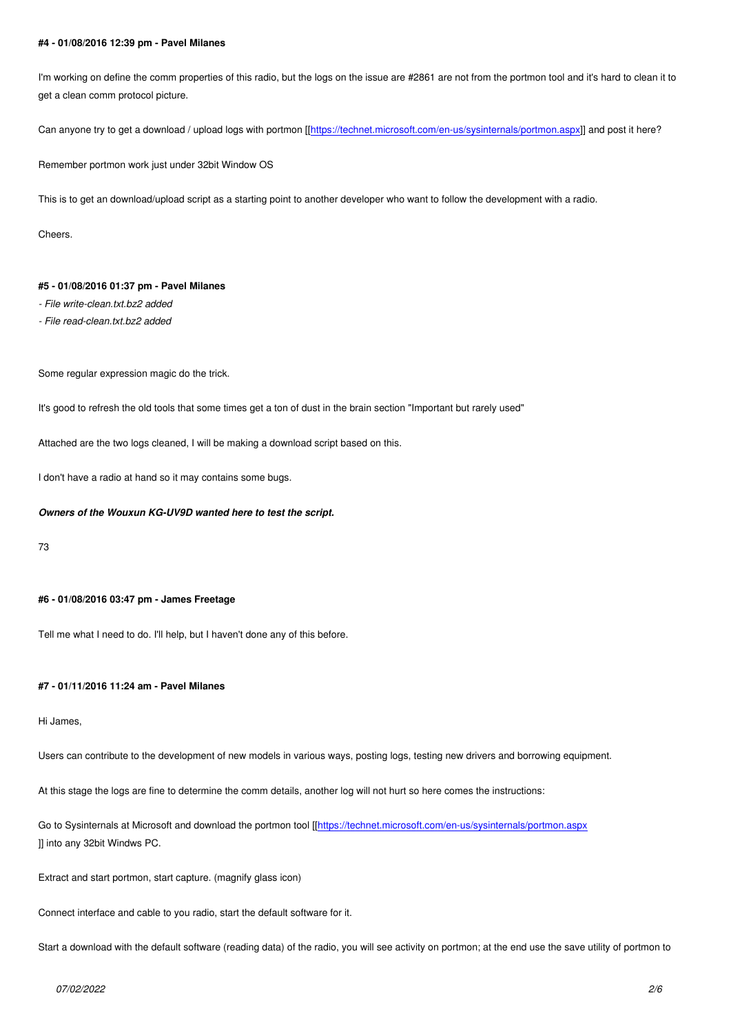*I'm working on define the comm properties of this radio, but the logs on the issue are #2861 are not from the portmon tool and it's hard to clean it to get a clean comm protocol picture.*

*Can anyone try to get a download / upload logs with portmon [[https://technet.microsoft.com/en-us/sysinternals/portmon.aspx]] and post it here?*

*Remember portmon work just under 32bit Window OS*

*This is to get an download/upload script as a starting point to a[nother developer who want to follow the development with a ra](https://technet.microsoft.com/en-us/sysinternals/portmon.aspx)dio.*

*Cheers.*

# **#5 - 01/08/2016 01:37 pm - Pavel Milanes**

- *File write-clean.txt.bz2 added*
- *File read-clean.txt.bz2 added*

*Some regular expression magic do the trick.*

*It's good to refresh the old tools that some times get a ton of dust in the brain section "Important but rarely used"*

*Attached are the two logs cleaned, I will be making a download script based on this.*

*I don't have a radio at hand so it may contains some bugs.*

### *Owners of the Wouxun KG-UV9D wanted here to test the script.*

*73*

### **#6 - 01/08/2016 03:47 pm - James Freetage**

*Tell me what I need to do. I'll help, but I haven't done any of this before.*

### **#7 - 01/11/2016 11:24 am - Pavel Milanes**

#### *Hi James,*

*Users can contribute to the development of new models in various ways, posting logs, testing new drivers and borrowing equipment.*

*At this stage the logs are fine to determine the comm details, another log will not hurt so here comes the instructions:*

*Go to Sysinternals at Microsoft and download the portmon tool [[https://technet.microsoft.com/en-us/sysinternals/portmon.aspx ]] into any 32bit Windws PC.*

*Extract and start portmon, start capture. (magnify glass icon)*

*Connect interface and cable to you radio, start the default software for it.*

*Start a download with the default software (reading data) of the radio, you will see activity on portmon; at the end use the save utility of portmon to*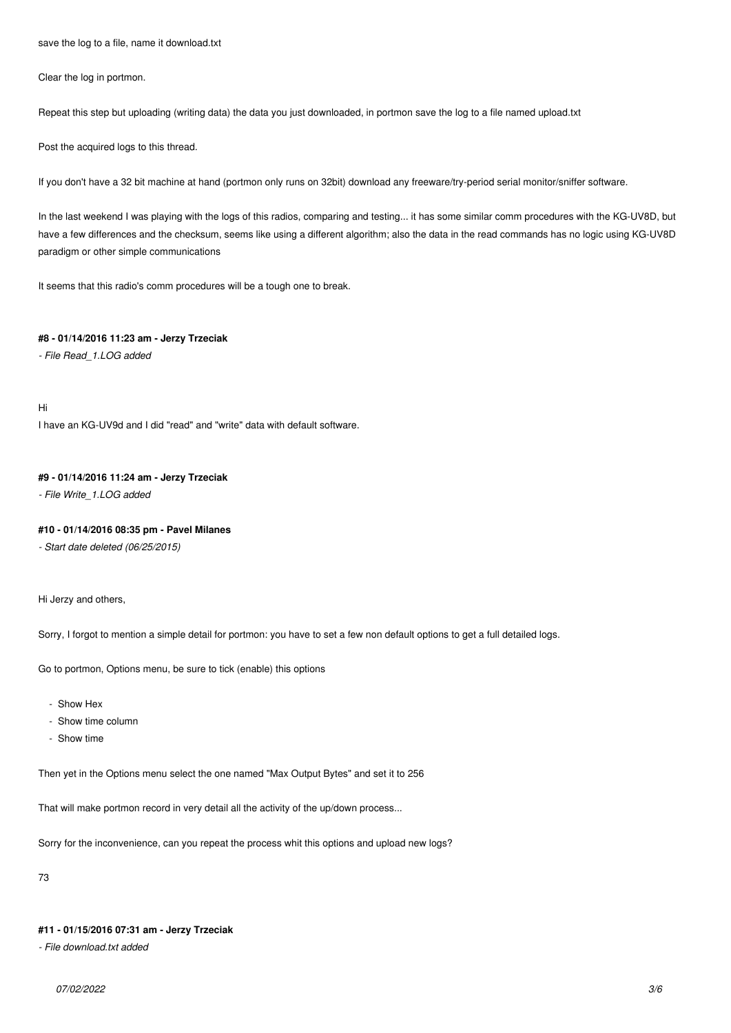*save the log to a file, name it download.txt*

*Clear the log in portmon.*

*Repeat this step but uploading (writing data) the data you just downloaded, in portmon save the log to a file named upload.txt*

*Post the acquired logs to this thread.*

*If you don't have a 32 bit machine at hand (portmon only runs on 32bit) download any freeware/try-period serial monitor/sniffer software.*

*In the last weekend I was playing with the logs of this radios, comparing and testing... it has some similar comm procedures with the KG-UV8D, but have a few differences and the checksum, seems like using a different algorithm; also the data in the read commands has no logic using KG-UV8D paradigm or other simple communications*

*It seems that this radio's comm procedures will be a tough one to break.*

# **#8 - 01/14/2016 11:23 am - Jerzy Trzeciak**

*- File Read\_1.LOG added*

*Hi*

*I have an KG-UV9d and I did "read" and "write" data with default software.*

# **#9 - 01/14/2016 11:24 am - Jerzy Trzeciak**

*- File Write\_1.LOG added*

# **#10 - 01/14/2016 08:35 pm - Pavel Milanes**

*- Start date deleted (06/25/2015)*

*Hi Jerzy and others,*

*Sorry, I forgot to mention a simple detail for portmon: you have to set a few non default options to get a full detailed logs.*

*Go to portmon, Options menu, be sure to tick (enable) this options*

- *Show Hex*
- *Show time column*
- *Show time*

*Then yet in the Options menu select the one named "Max Output Bytes" and set it to 256*

*That will make portmon record in very detail all the activity of the up/down process...*

*Sorry for the inconvenience, can you repeat the process whit this options and upload new logs?*

*73*

### **#11 - 01/15/2016 07:31 am - Jerzy Trzeciak**

*- File download.txt added*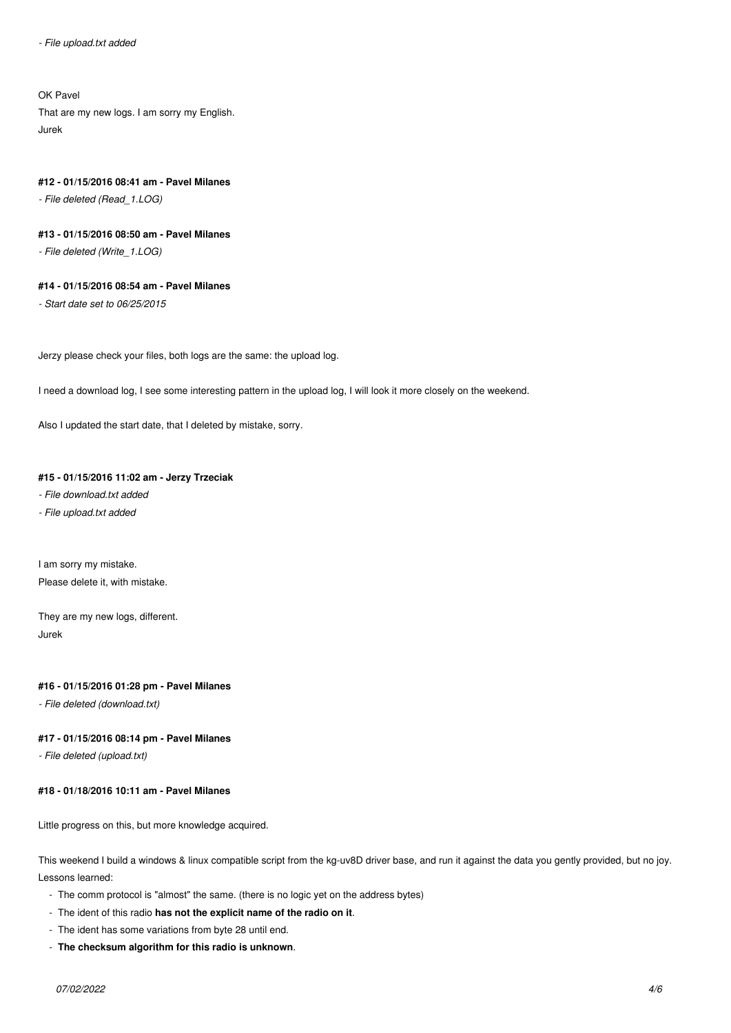# *OK Pavel*

*That are my new logs. I am sorry my English. Jurek*

#### **#12 - 01/15/2016 08:41 am - Pavel Milanes**

*- File deleted (Read\_1.LOG)*

# **#13 - 01/15/2016 08:50 am - Pavel Milanes**

*- File deleted (Write\_1.LOG)*

#### **#14 - 01/15/2016 08:54 am - Pavel Milanes**

*- Start date set to 06/25/2015*

*Jerzy please check your files, both logs are the same: the upload log.*

*I need a download log, I see some interesting pattern in the upload log, I will look it more closely on the weekend.*

*Also I updated the start date, that I deleted by mistake, sorry.*

# **#15 - 01/15/2016 11:02 am - Jerzy Trzeciak**

- *File download.txt added*
- *File upload.txt added*

*I am sorry my mistake. Please delete it, with mistake.*

*They are my new logs, different. Jurek*

# **#16 - 01/15/2016 01:28 pm - Pavel Milanes**

*- File deleted (download.txt)*

### **#17 - 01/15/2016 08:14 pm - Pavel Milanes**

*- File deleted (upload.txt)*

# **#18 - 01/18/2016 10:11 am - Pavel Milanes**

*Little progress on this, but more knowledge acquired.*

*This weekend I build a windows & linux compatible script from the kg-uv8D driver base, and run it against the data you gently provided, but no joy. Lessons learned:*

- *The comm protocol is "almost" the same. (there is no logic yet on the address bytes)*
- *The ident of this radio* **has not the explicit name of the radio on it***.*
- *The ident has some variations from byte 28 until end.*
- **The checksum algorithm for this radio is unknown***.*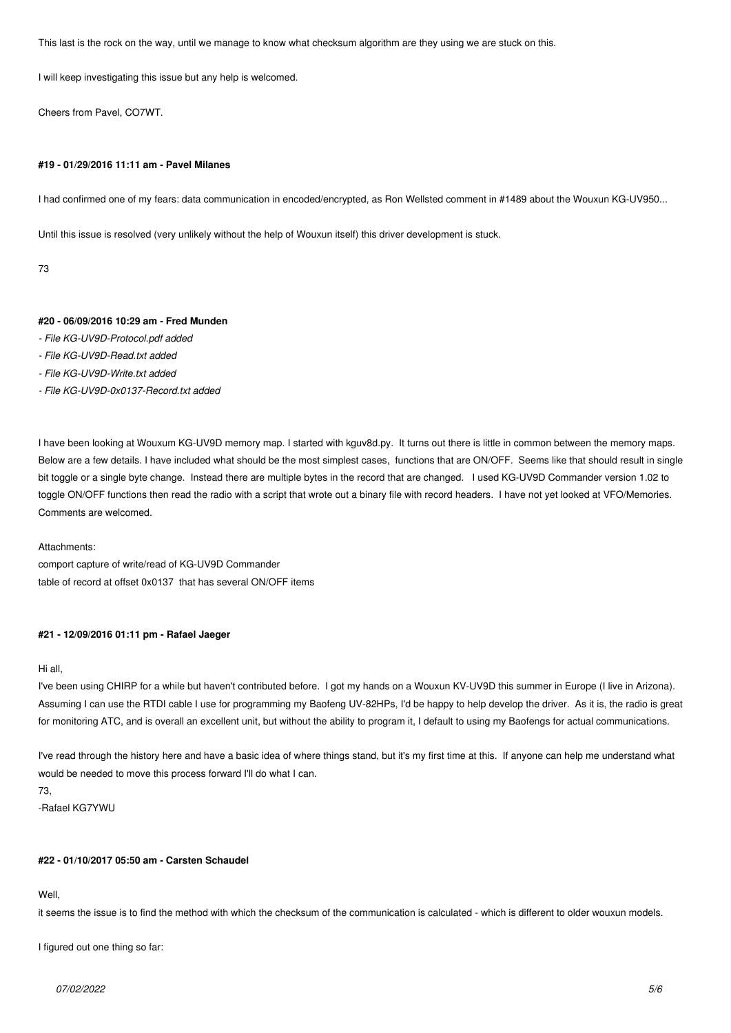*This last is the rock on the way, until we manage to know what checksum algorithm are they using we are stuck on this.*

*I will keep investigating this issue but any help is welcomed.*

*Cheers from Pavel, CO7WT.*

#### **#19 - 01/29/2016 11:11 am - Pavel Milanes**

*I had confirmed one of my fears: data communication in encoded/encrypted, as Ron Wellsted comment in #1489 about the Wouxun KG-UV950...*

*Until this issue is resolved (very unlikely without the help of Wouxun itself) this driver development is stuck.*

*73*

### **#20 - 06/09/2016 10:29 am - Fred Munden**

- *File KG-UV9D-Protocol.pdf added*
- *File KG-UV9D-Read.txt added*
- *File KG-UV9D-Write.txt added*
- *File KG-UV9D-0x0137-Record.txt added*

I have been looking at Wouxum KG-UV9D memory map. I started with kguv8d.py. It turns out there is little in common between the memory maps. *Below are a few details. I have included what should be the most simplest cases, functions that are ON/OFF. Seems like that should result in single bit toggle or a single byte change. Instead there are multiple bytes in the record that are changed. I used KG-UV9D Commander version 1.02 to* toggle ON/OFF functions then read the radio with a script that wrote out a binary file with record headers. I have not yet looked at VFO/Memories. *Comments are welcomed.*

*Attachments:*

*comport capture of write/read of KG-UV9D Commander table of record at offset 0x0137 that has several ON/OFF items*

# **#21 - 12/09/2016 01:11 pm - Rafael Jaeger**

*Hi all,*

*I've been using CHIRP for a while but haven't contributed before. I got my hands on a Wouxun KV-UV9D this summer in Europe (I live in Arizona). Assuming I can use the RTDI cable I use for programming my Baofeng UV-82HPs, I'd be happy to help develop the driver. As it is, the radio is great for monitoring ATC, and is overall an excellent unit, but without the ability to program it, I default to using my Baofengs for actual communications.*

*I've read through the history here and have a basic idea of where things stand, but it's my first time at this. If anyone can help me understand what would be needed to move this process forward I'll do what I can.*

*73,*

*-Rafael KG7YWU*

#### **#22 - 01/10/2017 05:50 am - Carsten Schaudel**

*Well,*

*it seems the issue is to find the method with which the checksum of the communication is calculated - which is different to older wouxun models.*

*I figured out one thing so far:*